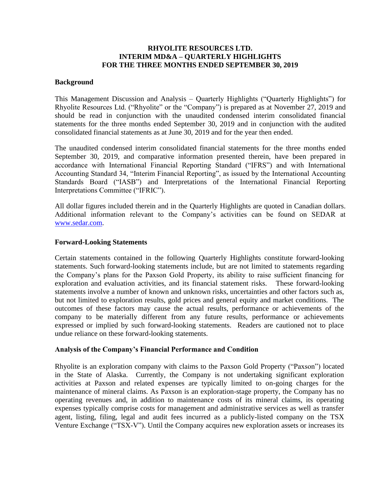# **RHYOLITE RESOURCES LTD. INTERIM MD&A – QUARTERLY HIGHLIGHTS FOR THE THREE MONTHS ENDED SEPTEMBER 30, 2019**

#### **Background**

This Management Discussion and Analysis – Quarterly Highlights ("Quarterly Highlights") for Rhyolite Resources Ltd. ("Rhyolite" or the "Company") is prepared as at November 27, 2019 and should be read in conjunction with the unaudited condensed interim consolidated financial statements for the three months ended September 30, 2019 and in conjunction with the audited consolidated financial statements as at June 30, 2019 and for the year then ended.

The unaudited condensed interim consolidated financial statements for the three months ended September 30, 2019, and comparative information presented therein, have been prepared in accordance with International Financial Reporting Standard ("IFRS") and with International Accounting Standard 34, "Interim Financial Reporting", as issued by the International Accounting Standards Board ("IASB") and Interpretations of the International Financial Reporting Interpretations Committee ("IFRIC").

All dollar figures included therein and in the Quarterly Highlights are quoted in Canadian dollars. Additional information relevant to the Company's activities can be found on SEDAR at [www.sedar.com.](http://www.sedar.com/)

#### **Forward-Looking Statements**

Certain statements contained in the following Quarterly Highlights constitute forward-looking statements. Such forward-looking statements include, but are not limited to statements regarding the Company's plans for the Paxson Gold Property, its ability to raise sufficient financing for exploration and evaluation activities, and its financial statement risks. These forward-looking statements involve a number of known and unknown risks, uncertainties and other factors such as, but not limited to exploration results, gold prices and general equity and market conditions. The outcomes of these factors may cause the actual results, performance or achievements of the company to be materially different from any future results, performance or achievements expressed or implied by such forward-looking statements. Readers are cautioned not to place undue reliance on these forward-looking statements.

## **Analysis of the Company's Financial Performance and Condition**

Rhyolite is an exploration company with claims to the Paxson Gold Property ("Paxson") located in the State of Alaska. Currently, the Company is not undertaking significant exploration activities at Paxson and related expenses are typically limited to on-going charges for the maintenance of mineral claims. As Paxson is an exploration-stage property, the Company has no operating revenues and, in addition to maintenance costs of its mineral claims, its operating expenses typically comprise costs for management and administrative services as well as transfer agent, listing, filing, legal and audit fees incurred as a publicly-listed company on the TSX Venture Exchange ("TSX-V"). Until the Company acquires new exploration assets or increases its